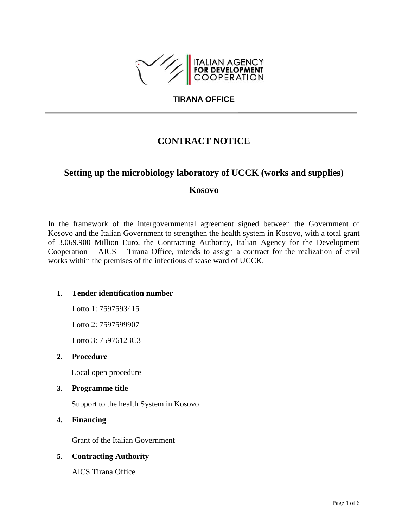

## **TIRANA OFFICE**

# **CONTRACT NOTICE**

# **Setting up the microbiology laboratory of UCCK (works and supplies)**

# **Kosovo**

In the framework of the intergovernmental agreement signed between the Government of Kosovo and the Italian Government to strengthen the health system in Kosovo, with a total grant of 3.069.900 Million Euro, the Contracting Authority, Italian Agency for the Development Cooperation – AICS – Tirana Office, intends to assign a contract for the realization of civil works within the premises of the infectious disease ward of UCCK.

## **1. Tender identification number**

Lotto 1: 7597593415

Lotto 2: 7597599907

Lotto 3: 75976123C3

#### **2. Procedure**

Local open procedure

### **3. Programme title**

Support to the health System in Kosovo

**4. Financing**

Grant of the Italian Government

## **5. Contracting Authority**

AICS Tirana Office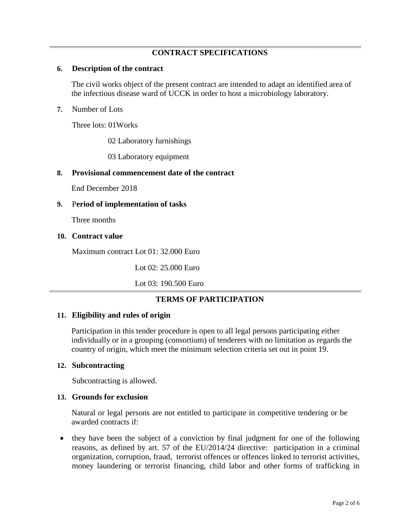# **CONTRACT SPECIFICATIONS**

## **6. Description of the contract**

The civil works object of the present contract are intended to adapt an identified area of the infectious disease ward of UCCK in order to host a microbiology laboratory.

## **7.** Number of Lots

Three lots: 01Works

02 Laboratory furnishings

03 Laboratory equipment

## **8. Provisional commencement date of the contract**

End December 2018

## **9.** P**eriod of implementation of tasks**

Three months

## **10. Contract value**

Maximum contract Lot 01: 32.000 Euro

Lot 02: 25.000 Euro

Lot 03: 190.500 Euro

## **TERMS OF PARTICIPATION**

#### **11. Eligibility and rules of origin**

Participation in this tender procedure is open to all legal persons participating either individually or in a grouping (consortium) of tenderers with no limitation as regards the country of origin, which meet the minimum selection criteria set out in point 19.

#### **12. Subcontracting**

Subcontracting is allowed.

#### **13. Grounds for exclusion**

Natural or legal persons are not entitled to participate in competitive tendering or be awarded contracts if:

• they have been the subject of a conviction by final judgment for one of the following reasons, as defined by art. 57 of the EU/2014/24 directive: participation in a criminal organization, corruption, fraud, terrorist offences or offences linked to terrorist activities, money laundering or terrorist financing, child labor and other forms of trafficking in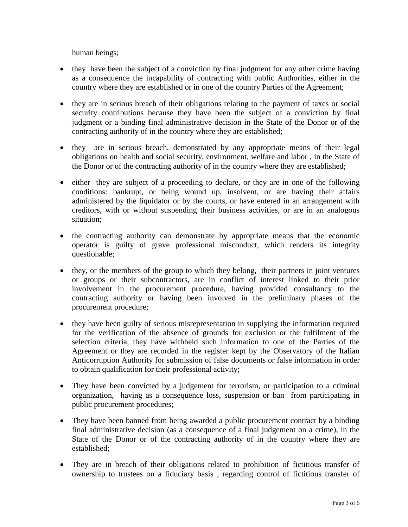human beings;

- they have been the subject of a conviction by final judgment for any other crime having as a consequence the incapability of contracting with public Authorities, either in the country where they are established or in one of the country Parties of the Agreement;
- they are in serious breach of their obligations relating to the payment of taxes or social security contributions because they have been the subject of a conviction by final judgment or a binding final administrative decision in the State of the Donor or of the contracting authority of in the country where they are established;
- they are in serious breach, demonstrated by any appropriate means of their legal obligations on health and social security, environment, welfare and labor , in the State of the Donor or of the contracting authority of in the country where they are established;
- either they are subject of a proceeding to declare, or they are in one of the following conditions: bankrupt, or being wound up, insolvent, or are having their affairs administered by the liquidator or by the courts, or have entered in an arrangement with creditors, with or without suspending their business activities, or are in an analogous situation;
- the contracting authority can demonstrate by appropriate means that the economic operator is guilty of grave professional misconduct, which renders its integrity questionable;
- they, or the members of the group to which they belong, their partners in joint ventures or groups or their subcontractors, are in conflict of interest linked to their prior involvement in the procurement procedure, having provided consultancy to the contracting authority or having been involved in the preliminary phases of the procurement procedure;
- they have been guilty of serious misrepresentation in supplying the information required for the verification of the absence of grounds for exclusion or the fulfilment of the selection criteria, they have withheld such information to one of the Parties of the Agreement or they are recorded in the register kept by the Observatory of the Italian Anticorruption Authority for submission of false documents or false information in order to obtain qualification for their professional activity;
- They have been convicted by a judgement for terrorism, or participation to a criminal organization, having as a consequence loss, suspension or ban from participating in public procurement procedures;
- They have been banned from being awarded a public procurement contract by a binding final administrative decision (as a consequence of a final judgement on a crime), in the State of the Donor or of the contracting authority of in the country where they are established;
- They are in breach of their obligations related to prohibition of fictitious transfer of ownership to trustees on a fiduciary basis , regarding control of fictitious transfer of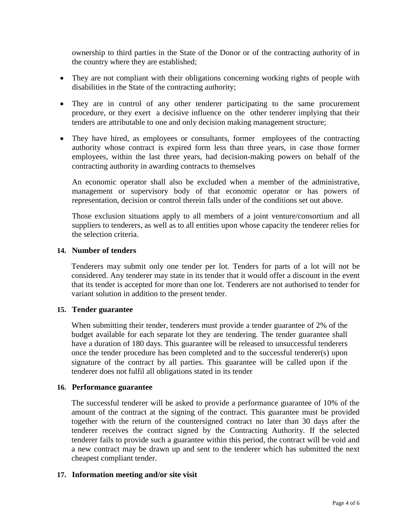ownership to third parties in the State of the Donor or of the contracting authority of in the country where they are established;

- They are not compliant with their obligations concerning working rights of people with disabilities in the State of the contracting authority;
- They are in control of any other tenderer participating to the same procurement procedure, or they exert a decisive influence on the other tenderer implying that their tenders are attributable to one and only decision making management structure;
- They have hired, as employees or consultants, former employees of the contracting authority whose contract is expired form less than three years, in case those former employees, within the last three years, had decision-making powers on behalf of the contracting authority in awarding contracts to themselves

An economic operator shall also be excluded when a member of the administrative, management or supervisory body of that economic operator or has powers of representation, decision or control therein falls under of the conditions set out above.

Those exclusion situations apply to all members of a joint venture/consortium and all suppliers to tenderers, as well as to all entities upon whose capacity the tenderer relies for the selection criteria.

## **14. Number of tenders**

Tenderers may submit only one tender per lot. Tenders for parts of a lot will not be considered. Any tenderer may state in its tender that it would offer a discount in the event that its tender is accepted for more than one lot. Tenderers are not authorised to tender for variant solution in addition to the present tender.

## **15. Tender guarantee**

When submitting their tender, tenderers must provide a tender guarantee of 2% of the budget available for each separate lot they are tendering. The tender guarantee shall have a duration of 180 days. This guarantee will be released to unsuccessful tenderers once the tender procedure has been completed and to the successful tenderer(s) upon signature of the contract by all parties. This guarantee will be called upon if the tenderer does not fulfil all obligations stated in its tender

#### **16. Performance guarantee**

The successful tenderer will be asked to provide a performance guarantee of 10% of the amount of the contract at the signing of the contract. This guarantee must be provided together with the return of the countersigned contract no later than 30 days after the tenderer receives the contract signed by the Contracting Authority. If the selected tenderer fails to provide such a guarantee within this period, the contract will be void and a new contract may be drawn up and sent to the tenderer which has submitted the next cheapest compliant tender.

#### **17. Information meeting and/or site visit**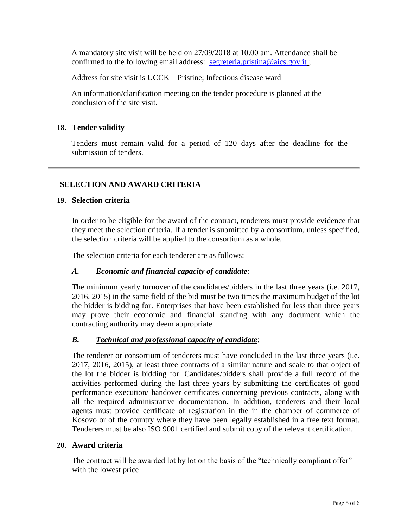A mandatory site visit will be held on 27/09/2018 at 10.00 am. Attendance shall be confirmed to the following email address: [segreteria.pristina@aics.gov.it](mailto:segreteria.pristina@aics.gov.it);

Address for site visit is UCCK – Pristine; Infectious disease ward

An information/clarification meeting on the tender procedure is planned at the conclusion of the site visit.

## **18. Tender validity**

Tenders must remain valid for a period of 120 days after the deadline for the submission of tenders.

## **SELECTION AND AWARD CRITERIA**

## **19. Selection criteria**

In order to be eligible for the award of the contract, tenderers must provide evidence that they meet the selection criteria. If a tender is submitted by a consortium, unless specified, the selection criteria will be applied to the consortium as a whole.

The selection criteria for each tenderer are as follows:

## *A. Economic and financial capacity of candidate*:

The minimum yearly turnover of the candidates/bidders in the last three years (i.e. 2017, 2016, 2015) in the same field of the bid must be two times the maximum budget of the lot the bidder is bidding for. Enterprises that have been established for less than three years may prove their economic and financial standing with any document which the contracting authority may deem appropriate

## *B. Technical and professional capacity of candidate*:

The tenderer or consortium of tenderers must have concluded in the last three years (i.e. 2017, 2016, 2015), at least three contracts of a similar nature and scale to that object of the lot the bidder is bidding for. Candidates/bidders shall provide a full record of the activities performed during the last three years by submitting the certificates of good performance execution/ handover certificates concerning previous contracts, along with all the required administrative documentation. In addition, tenderers and their local agents must provide certificate of registration in the in the chamber of commerce of Kosovo or of the country where they have been legally established in a free text format. Tenderers must be also ISO 9001 certified and submit copy of the relevant certification.

#### **20. Award criteria**

The contract will be awarded lot by lot on the basis of the "technically compliant offer" with the lowest price